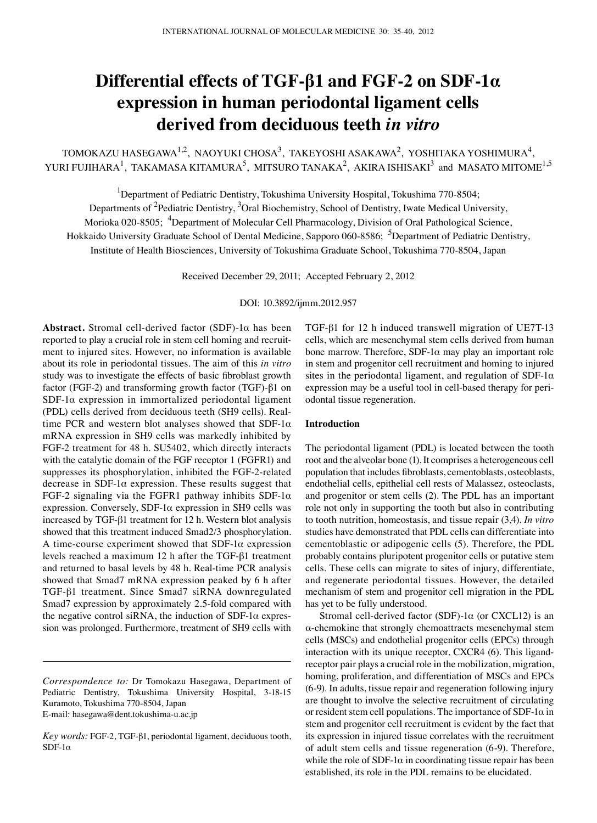# **Differential effects of TGF-β1 and FGF-2 on SDF-1α expression in human periodontal ligament cells derived from deciduous teeth** *in vitro*

 $TOMOKAZU HASEGAWA<sup>1,2</sup>, NAOYUKI CHOSA<sup>3</sup>, TAKEYOSHI ASAKAWA<sup>2</sup>, YOSHITAKA YOSHIMURA<sup>4</sup>,$ YURI FUJIHARA<sup>1</sup>, TAKAMASA KITAMURA<sup>5</sup>, MITSURO TANAKA<sup>2</sup>, AKIRA ISHISAKI<sup>3</sup> and MASATO MITOME<sup>1,5</sup>

<sup>1</sup>Department of Pediatric Dentistry, Tokushima University Hospital, Tokushima 770-8504;

Departments of <sup>2</sup>Pediatric Dentistry, <sup>3</sup>Oral Biochemistry, School of Dentistry, Iwate Medical University,

Morioka 020-8505; <sup>4</sup>Department of Molecular Cell Pharmacology, Division of Oral Pathological Science,

Hokkaido University Graduate School of Dental Medicine, Sapporo 060-8586; <sup>5</sup>Department of Pediatric Dentistry,

Institute of Health Biosciences, University of Tokushima Graduate School, Tokushima 770-8504, Japan

Received December 29, 2011; Accepted February 2, 2012

DOI: 10.3892/ijmm.2012.957

**Abstract.** Stromal cell-derived factor (SDF)-1α has been reported to play a crucial role in stem cell homing and recruitment to injured sites. However, no information is available about its role in periodontal tissues. The aim of this *in vitro* study was to investigate the effects of basic fibroblast growth factor (FGF-2) and transforming growth factor (TGF)-β1 on SDF-1 $\alpha$  expression in immortalized periodontal ligament (PDL) cells derived from deciduous teeth (SH9 cells). Realtime PCR and western blot analyses showed that  $SDF-1\alpha$ mRNA expression in SH9 cells was markedly inhibited by FGF-2 treatment for 48 h. SU5402, which directly interacts with the catalytic domain of the FGF receptor 1 (FGFR1) and suppresses its phosphorylation, inhibited the FGF-2-related decrease in  $SDF-1\alpha$  expression. These results suggest that FGF-2 signaling via the FGFR1 pathway inhibits SDF-1 $\alpha$ expression. Conversely, SDF-1 $\alpha$  expression in SH9 cells was increased by TGF-β1 treatment for 12 h. Western blot analysis showed that this treatment induced Smad2/3 phosphorylation. A time-course experiment showed that  $SDF-1\alpha$  expression levels reached a maximum 12 h after the TGF-β1 treatment and returned to basal levels by 48 h. Real-time PCR analysis showed that Smad7 mRNA expression peaked by 6 h after TGF-β1 treatment. Since Smad7 siRNA downregulated Smad7 expression by approximately 2.5-fold compared with the negative control siRNA, the induction of SDF-1α expression was prolonged. Furthermore, treatment of SH9 cells with TGF-β1 for 12 h induced transwell migration of UE7T-13 cells, which are mesenchymal stem cells derived from human bone marrow. Therefore, SDF-1 $\alpha$  may play an important role in stem and progenitor cell recruitment and homing to injured sites in the periodontal ligament, and regulation of SDF-1 $\alpha$ expression may be a useful tool in cell-based therapy for periodontal tissue regeneration.

### **Introduction**

The periodontal ligament (PDL) is located between the tooth root and the alveolar bone (1). It comprises a heterogeneous cell population that includes fibroblasts, cementoblasts, osteoblasts, endothelial cells, epithelial cell rests of Malassez, osteoclasts, and progenitor or stem cells (2). The PDL has an important role not only in supporting the tooth but also in contributing to tooth nutrition, homeostasis, and tissue repair (3,4). *In vitro* studies have demonstrated that PDL cells can differentiate into cementoblastic or adipogenic cells (5). Therefore, the PDL probably contains pluripotent progenitor cells or putative stem cells. These cells can migrate to sites of injury, differentiate, and regenerate periodontal tissues. However, the detailed mechanism of stem and progenitor cell migration in the PDL has yet to be fully understood.

Stromal cell-derived factor (SDF)-1 $\alpha$  (or CXCL12) is an α-chemokine that strongly chemoattracts mesenchymal stem cells (MSCs) and endothelial progenitor cells (EPCs) through interaction with its unique receptor, CXCR4 (6). This ligandreceptor pair plays a crucial role in the mobilization, migration, homing, proliferation, and differentiation of MSCs and EPCs (6-9). In adults, tissue repair and regeneration following injury are thought to involve the selective recruitment of circulating or resident stem cell populations. The importance of SDF-1 $\alpha$  in stem and progenitor cell recruitment is evident by the fact that its expression in injured tissue correlates with the recruitment of adult stem cells and tissue regeneration (6-9). Therefore, while the role of SDF-1 $\alpha$  in coordinating tissue repair has been established, its role in the PDL remains to be elucidated.

*Correspondence to:* Dr Tomokazu Hasegawa, Department of Pediatric Dentistry, Tokushima University Hospital, 3-18-15 Kuramoto, Tokushima 770-8504, Japan E-mail: hasegawa@dent.tokushima-u.ac.jp

*Key words:* FGF-2, TGF-β1, periodontal ligament, deciduous tooth, SDF- $1α$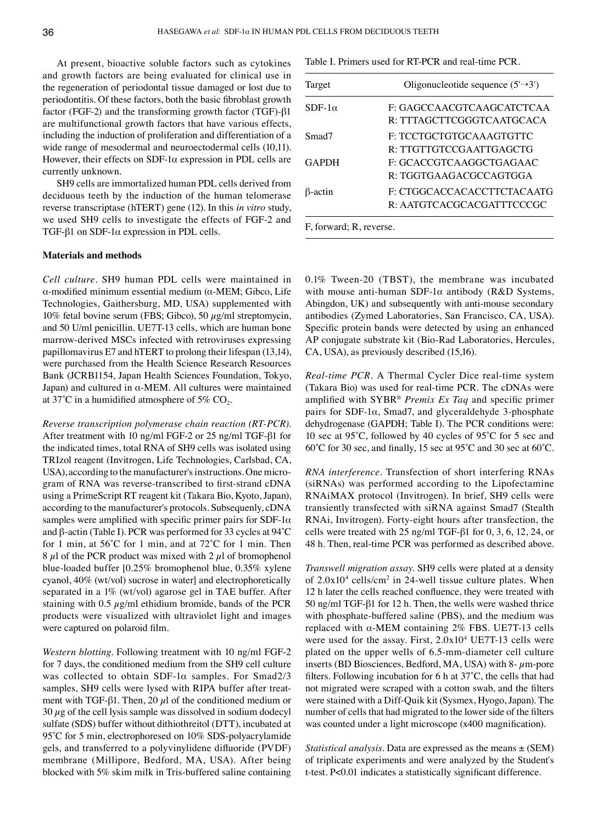At present, bioactive soluble factors such as cytokines and growth factors are being evaluated for clinical use in the regeneration of periodontal tissue damaged or lost due to periodontitis. Of these factors, both the basic fibroblast growth factor (FGF-2) and the transforming growth factor (TGF)-β1 are multifunctional growth factors that have various effects, including the induction of proliferation and differentiation of a wide range of mesodermal and neuroectodermal cells (10,11). However, their effects on SDF-1α expression in PDL cells are currently unknown.

SH9 cells are immortalized human PDL cells derived from deciduous teeth by the induction of the human telomerase reverse transcriptase (hTERT) gene (12). In this *in vitro* study, we used SH9 cells to investigate the effects of FGF-2 and TGF-β1 on SDF-1α expression in PDL cells.

## **Materials and methods**

*Cell culture.* SH9 human PDL cells were maintained in α-modified minimum essential medium (α-MEM; Gibco, Life Technologies, Gaithersburg, MD, USA) supplemented with 10% fetal bovine serum (FBS; Gibco), 50 *µ*g/ml streptomycin, and 50 U/ml penicillin. UE7T-13 cells, which are human bone marrow-derived MSCs infected with retroviruses expressing papillomavirus E7 and hTERT to prolong their lifespan (13,14), were purchased from the Health Science Research Resources Bank (JCRB1154, Japan Health Sciences Foundation, Tokyo, Japan) and cultured in α-MEM. All cultures were maintained at 37°C in a humidified atmosphere of 5%  $CO<sub>2</sub>$ .

*Reverse transcription polymerase chain reaction (RT-PCR).*  After treatment with 10 ng/ml FGF-2 or 25 ng/ml TGF-β1 for the indicated times, total RNA of SH9 cells was isolated using TRIzol reagent (Invitrogen, Life Technologies, Carlsbad, CA, USA), according to the manufacturer's instructions. One microgram of RNA was reverse-transcribed to first-strand cDNA using a PrimeScript RT reagent kit (Takara Bio, Kyoto, Japan), according to the manufacturer's protocols. Subsequenly, cDNA samples were amplified with specific primer pairs for SDF-1 $\alpha$ and β-actin (Table I). PCR was performed for 33 cycles at 94˚C for 1 min, at 56˚C for 1 min, and at 72˚C for 1 min. Then 8  $\mu$ l of the PCR product was mixed with 2  $\mu$ l of bromophenol blue-loaded buffer [0.25% bromophenol blue, 0.35% xylene cyanol, 40% (wt/vol) sucrose in water] and electrophoretically separated in a 1% (wt/vol) agarose gel in TAE buffer. After staining with 0.5 *µ*g/ml ethidium bromide, bands of the PCR products were visualized with ultraviolet light and images were captured on polaroid film.

*Western blotting.* Following treatment with 10 ng/ml FGF-2 for 7 days, the conditioned medium from the SH9 cell culture was collected to obtain SDF-1α samples. For Smad2/3 samples, SH9 cells were lysed with RIPA buffer after treatment with TGF-β1. Then, 20  $\mu$ l of the conditioned medium or 30 *µ*g of the cell lysis sample was dissolved in sodium dodecyl sulfate (SDS) buffer without dithiothreitol (DTT), incubated at 95<sup>°</sup>C for 5 min, electrophoresed on 10% SDS-polyacrylamide gels, and transferred to a polyvinylidene difluoride (PVDF) membrane (Millipore, Bedford, MA, USA). After being blocked with 5% skim milk in Tris-buffered saline containing Table I. Primers used for RT-PCR and real-time PCR.

| Target                  | Oligonucleotide sequence $(5\rightarrow 3)$             |
|-------------------------|---------------------------------------------------------|
| $SDF-1\alpha$           | F: GAGCCAACGTCAAGCATCTCAA<br>R: TTTAGCTTCGGGTCAATGCACA  |
| Smad7                   | F: TCCTGCTGTGCAAAGTGTTC<br>R: TTGTTGTCCGAATTGAGCTG      |
| <b>GAPDH</b>            | F: GCACCGTCAAGGCTGAGAAC<br>R: TGGTGAAGACGCCAGTGGA       |
| $\beta$ -actin          | F: CTGGCACCACACCTTCTACAATG<br>R: AATGTCACGCACGATTTCCCGC |
| F, forward; R, reverse. |                                                         |

0.1% Tween-20 (TBST), the membrane was incubated with mouse anti-human SDF-1 $\alpha$  antibody (R&D Systems, Abingdon, UK) and subsequently with anti-mouse secondary antibodies (Zymed Laboratories, San Francisco, CA, USA). Specific protein bands were detected by using an enhanced AP conjugate substrate kit (Bio-Rad Laboratories, Hercules, CA, USA), as previously described (15,16).

*Real-time PCR.* A Thermal Cycler Dice real-time system (Takara Bio) was used for real-time PCR. The cDNAs were amplified with SYBR® *Premix Ex Taq* and specific primer pairs for SDF-1 $\alpha$ , Smad7, and glyceraldehyde 3-phosphate dehydrogenase (GAPDH; Table I). The PCR conditions were: 10 sec at 95˚C, followed by 40 cycles of 95˚C for 5 sec and 60˚C for 30 sec, and finally, 15 sec at 95˚C and 30 sec at 60˚C.

*RNA interference.* Transfection of short interfering RNAs (siRNAs) was performed according to the Lipofectamine RNAiMAX protocol (Invitrogen). In brief, SH9 cells were transiently transfected with siRNA against Smad7 (Stealth RNAi, Invitrogen). Forty-eight hours after transfection, the cells were treated with 25 ng/ml TGF-β1 for 0, 3, 6, 12, 24, or 48 h. Then, real-time PCR was performed as described above.

*Transwell migration assay.* SH9 cells were plated at a density of  $2.0x10^4$  cells/cm<sup>2</sup> in 24-well tissue culture plates. When 12 h later the cells reached confluence, they were treated with 50 ng/ml TGF-β1 for 12 h. Then, the wells were washed thrice with phosphate-buffered saline (PBS), and the medium was replaced with α-MEM containing 2% FBS. UE7T-13 cells were used for the assay. First,  $2.0x10^4$  UE7T-13 cells were plated on the upper wells of 6.5-mm-diameter cell culture inserts (BD Biosciences, Bedford, MA, USA) with 8- *µ*m-pore filters. Following incubation for 6 h at 37˚C, the cells that had not migrated were scraped with a cotton swab, and the filters were stained with a Diff-Quik kit (Sysmex, Hyogo, Japan). The number of cells that had migrated to the lower side of the filters was counted under a light microscope (x400 magnification).

*Statistical analysis.* Data are expressed as the means ± (SEM) of triplicate experiments and were analyzed by the Student's t-test. P<0.01 indicates a statistically significant difference.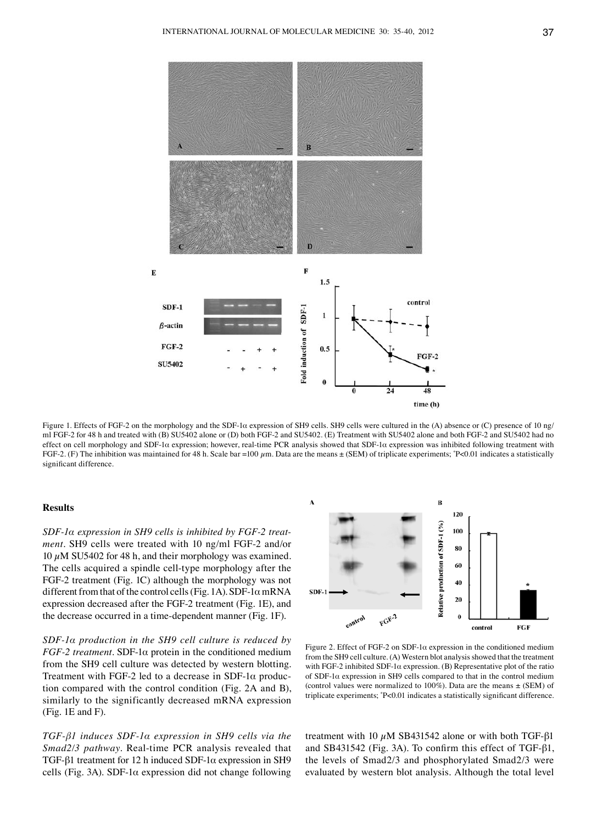

Figure 1. Effects of FGF-2 on the morphology and the SDF-1α expression of SH9 cells. SH9 cells were cultured in the (A) absence or (C) presence of 10 ng/ ml FGF-2 for 48 h and treated with (B) SU5402 alone or (D) both FGF-2 and SU5402. (E) Treatment with SU5402 alone and both FGF-2 and SU5402 had no effect on cell morphology and SDF-1α expression; however, real-time PCR analysis showed that SDF-1α expression was inhibited following treatment with FGF-2. (F) The inhibition was maintained for 48 h. Scale bar =100 *µ*m. Data are the means ± (SEM) of triplicate experiments; \* P<0.01 indicates a statistically significant difference.

## **Results**

*SDF-1α expression in SH9 cells is inhibited by FGF-2 treatment.* SH9 cells were treated with 10 ng/ml FGF-2 and/or 10 *µ*M SU5402 for 48 h, and their morphology was examined. The cells acquired a spindle cell-type morphology after the FGF-2 treatment (Fig. 1C) although the morphology was not different from that of the control cells (Fig. 1A).  $SDF-1\alpha$  mRNA expression decreased after the FGF-2 treatment (Fig. 1E), and the decrease occurred in a time-dependent manner (Fig. 1F).

*SDF-1α production in the SH9 cell culture is reduced by FGF-2 treatment.* SDF-1α protein in the conditioned medium from the SH9 cell culture was detected by western blotting. Treatment with FGF-2 led to a decrease in SDF-1 $\alpha$  production compared with the control condition (Fig. 2A and B), similarly to the significantly decreased mRNA expression (Fig. 1E and F).

*TGF-β1 induces SDF-1α expression in SH9 cells via the Smad2/3 pathway.* Real-time PCR analysis revealed that TGF-β1 treatment for 12 h induced SDF-1α expression in SH9 cells (Fig. 3A). SDF-1 $\alpha$  expression did not change following



Figure 2. Effect of FGF-2 on SDF-1α expression in the conditioned medium from the SH9 cell culture. (A) Western blot analysis showed that the treatment with FGF-2 inhibited SDF-1 $\alpha$  expression. (B) Representative plot of the ratio of SDF-1α expression in SH9 cells compared to that in the control medium (control values were normalized to 100%). Data are the means  $\pm$  (SEM) of triplicate experiments; \* P<0.01 indicates a statistically significant difference.

treatment with 10 *µ*M SB431542 alone or with both TGF-β1 and SB431542 (Fig. 3A). To confirm this effect of TGF-β1, the levels of Smad2/3 and phosphorylated Smad2/3 were evaluated by western blot analysis. Although the total level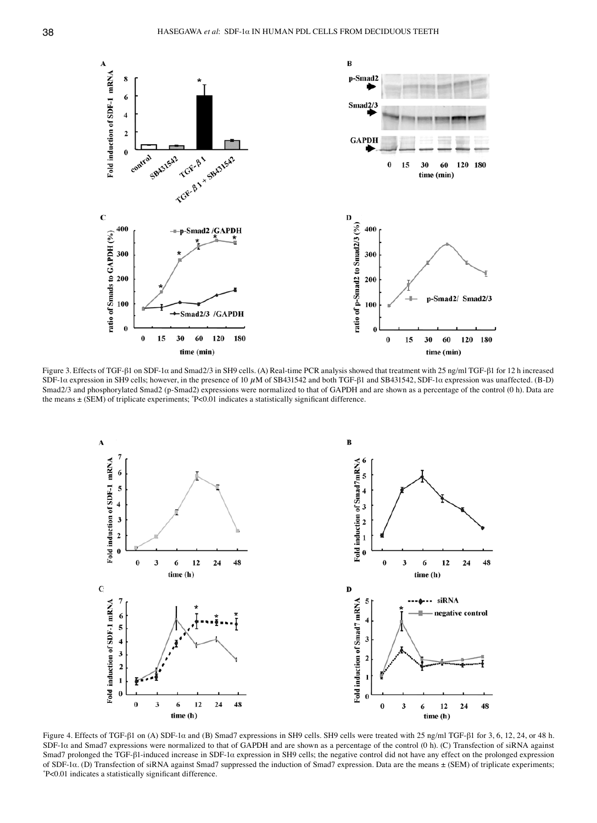

Figure 3. Effects of TGF-β1 on SDF-1α and Smad2/3 in SH9 cells. (A) Real-time PCR analysis showed that treatment with 25 ng/ml TGF-β1 for 12 h increased SDF-1α expression in SH9 cells; however, in the presence of 10 µM of SB431542 and both TGF-β1 and SB431542, SDF-1α expression was unaffected. (B-D) Smad2/3 and phosphorylated Smad2 (p-Smad2) expressions were normalized to that of GAPDH and are shown as a percentage of the control (0 h). Data are the means ± (SEM) of triplicate experiments; \* P<0.01 indicates a statistically significant difference.



Figure 4. Effects of TGF-β1 on (A) SDF-1α and (B) Smad7 expressions in SH9 cells. SH9 cells were treated with 25 ng/ml TGF-β1 for 3, 6, 12, 24, or 48 h. SDF-1α and Smad7 expressions were normalized to that of GAPDH and are shown as a percentage of the control (0 h). (C) Transfection of siRNA against Smad7 prolonged the TGF-β1-induced increase in SDF-1α expression in SH9 cells; the negative control did not have any effect on the prolonged expression of SDF-1α. (D) Transfection of siRNA against Smad7 suppressed the induction of Smad7 expression. Data are the means ± (SEM) of triplicate experiments; \* P<0.01 indicates a statistically significant difference.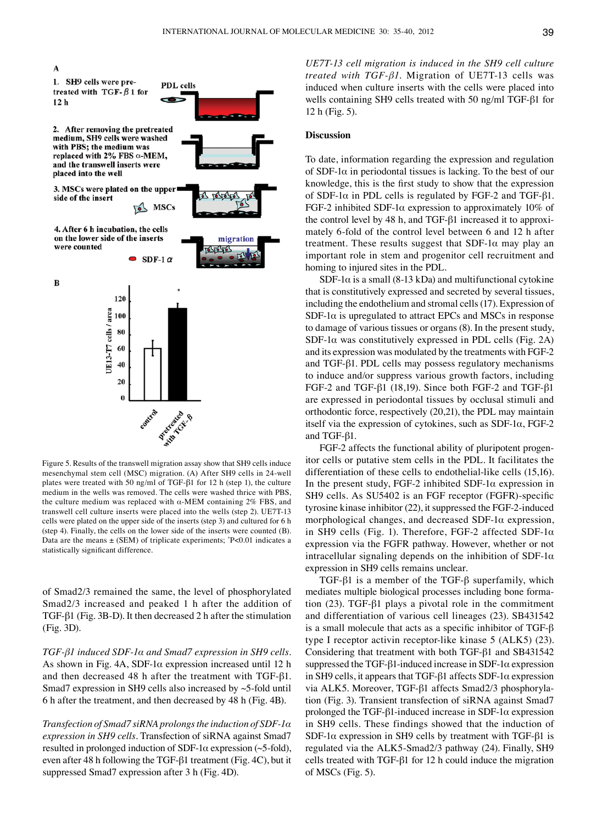

Figure 5. Results of the transwell migration assay show that SH9 cells induce mesenchymal stem cell (MSC) migration. (A) After SH9 cells in 24-well plates were treated with 50 ng/ml of TGF-β1 for 12 h (step 1), the culture medium in the wells was removed. The cells were washed thrice with PBS, the culture medium was replaced with  $\alpha$ -MEM containing 2% FBS, and transwell cell culture inserts were placed into the wells (step 2). UE7T-13 cells were plated on the upper side of the inserts (step 3) and cultured for 6 h (step 4). Finally, the cells on the lower side of the inserts were counted (B). Data are the means ± (SEM) of triplicate experiments; \* P<0.01 indicates a statistically significant difference.

of Smad2/3 remained the same, the level of phosphorylated Smad2/3 increased and peaked 1 h after the addition of TGF-β1 (Fig. 3B-D). It then decreased 2 h after the stimulation (Fig. 3D).

*TGF-β1 induced SDF-1α and Smad7 expression in SH9 cells.*  As shown in Fig. 4A, SDF-1α expression increased until 12 h and then decreased 48 h after the treatment with TGF-β1. Smad7 expression in SH9 cells also increased by ~5-fold until 6 h after the treatment, and then decreased by 48 h (Fig. 4B).

*Transfection of Smad7 siRNA prolongs the induction of SDF-1α expression in SH9 cells.* Transfection of siRNA against Smad7 resulted in prolonged induction of SDF-1α expression (~5-fold), even after 48 h following the TGF-β1 treatment (Fig. 4C), but it suppressed Smad7 expression after 3 h (Fig. 4D).

*UE7T-13 cell migration is induced in the SH9 cell culture treated with TGF-β1.* Migration of UE7T-13 cells was induced when culture inserts with the cells were placed into wells containing SH9 cells treated with 50 ng/ml TGF-β1 for 12 h (Fig. 5).

### **Discussion**

To date, information regarding the expression and regulation of SDF-1 $\alpha$  in periodontal tissues is lacking. To the best of our knowledge, this is the first study to show that the expression of SDF-1α in PDL cells is regulated by FGF-2 and TGF-β1. FGF-2 inhibited SDF-1α expression to approximately 10% of the control level by 48 h, and TGF-β1 increased it to approximately 6-fold of the control level between 6 and 12 h after treatment. These results suggest that  $SDF-1\alpha$  may play an important role in stem and progenitor cell recruitment and homing to injured sites in the PDL.

SDF-1 $\alpha$  is a small (8-13 kDa) and multifunctional cytokine that is constitutively expressed and secreted by several tissues, including the endothelium and stromal cells (17). Expression of SDF-1 $\alpha$  is upregulated to attract EPCs and MSCs in response to damage of various tissues or organs (8). In the present study, SDF-1 $\alpha$  was constitutively expressed in PDL cells (Fig. 2A) and its expression was modulated by the treatments with FGF-2 and TGF-β1. PDL cells may possess regulatory mechanisms to induce and/or suppress various growth factors, including FGF-2 and TGF-β1 (18,19). Since both FGF-2 and TGF-β1 are expressed in periodontal tissues by occlusal stimuli and orthodontic force, respectively (20,21), the PDL may maintain itself via the expression of cytokines, such as SDF-1α, FGF-2 and TGF-β1.

FGF-2 affects the functional ability of pluripotent progenitor cells or putative stem cells in the PDL. It facilitates the differentiation of these cells to endothelial-like cells (15,16). In the present study, FGF-2 inhibited SDF-1 $\alpha$  expression in SH9 cells. As SU5402 is an FGF receptor (FGFR)-specific tyrosine kinase inhibitor (22), it suppressed the FGF-2-induced morphological changes, and decreased SDF-1α expression, in SH9 cells (Fig. 1). Therefore, FGF-2 affected SDF-1 $\alpha$ expression via the FGFR pathway. However, whether or not intracellular signaling depends on the inhibition of SDF-1 $\alpha$ expression in SH9 cells remains unclear.

TGF-β1 is a member of the TGF-β superfamily, which mediates multiple biological processes including bone formation (23). TGF-β1 plays a pivotal role in the commitment and differentiation of various cell lineages (23). SB431542 is a small molecule that acts as a specific inhibitor of TGF- $\beta$ type I receptor activin receptor-like kinase 5 (ALK5) (23). Considering that treatment with both TGF-β1 and SB431542 suppressed the TGF-β1-induced increase in SDF-1α expression in SH9 cells, it appears that TGF-β1 affects SDF-1α expression via ALK5. Moreover, TGF-β1 affects Smad2/3 phosphorylation (Fig. 3). Transient transfection of siRNA against Smad7 prolonged the TGF-β1-induced increase in SDF-1α expression in SH9 cells. These findings showed that the induction of SDF-1α expression in SH9 cells by treatment with TGF-β1 is regulated via the ALK5-Smad2/3 pathway (24). Finally, SH9 cells treated with TGF-β1 for 12 h could induce the migration of MSCs (Fig. 5).